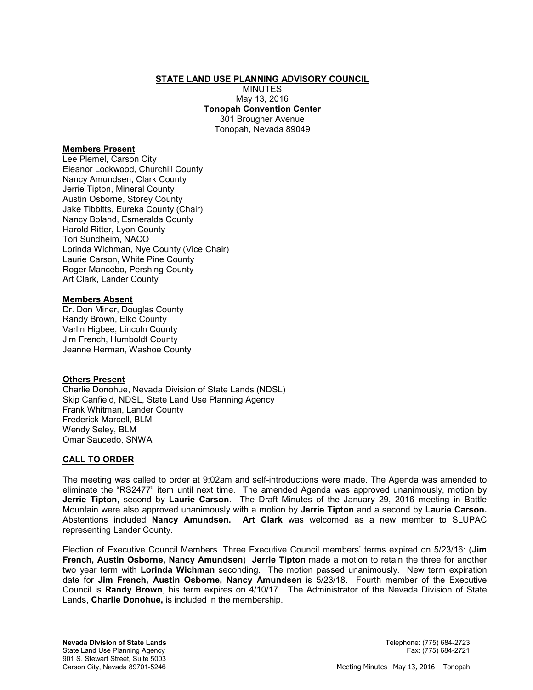#### **STATE LAND USE PLANNING ADVISORY COUNCIL**

**MINUTES** May 13, 2016 **Tonopah Convention Center**  301 Brougher Avenue Tonopah, Nevada 89049

#### **Members Present**

Lee Plemel, Carson City Eleanor Lockwood, Churchill County Nancy Amundsen, Clark County Jerrie Tipton, Mineral County Austin Osborne, Storey County Jake Tibbitts, Eureka County (Chair) Nancy Boland, Esmeralda County Harold Ritter, Lyon County Tori Sundheim, NACO Lorinda Wichman, Nye County (Vice Chair) Laurie Carson, White Pine County Roger Mancebo, Pershing County Art Clark, Lander County

#### **Members Absent**

Dr. Don Miner, Douglas County Randy Brown, Elko County Varlin Higbee, Lincoln County Jim French, Humboldt County Jeanne Herman, Washoe County

#### **Others Present**

Charlie Donohue, Nevada Division of State Lands (NDSL) Skip Canfield, NDSL, State Land Use Planning Agency Frank Whitman, Lander County Frederick Marcell, BLM Wendy Seley, BLM Omar Saucedo, SNWA

#### **CALL TO ORDER**

The meeting was called to order at 9:02am and self-introductions were made. The Agenda was amended to eliminate the "RS2477" item until next time. The amended Agenda was approved unanimously, motion by **Jerrie Tipton,** second by **Laurie Carson**. The Draft Minutes of the January 29, 2016 meeting in Battle Mountain were also approved unanimously with a motion by **Jerrie Tipton** and a second by **Laurie Carson.**  Abstentions included **Nancy Amundsen. Art Clark** was welcomed as a new member to SLUPAC representing Lander County.

Election of Executive Council Members. Three Executive Council members' terms expired on 5/23/16: (**Jim French, Austin Osborne, Nancy Amundsen**) **Jerrie Tipton** made a motion to retain the three for another two year term with **Lorinda Wichman** seconding. The motion passed unanimously. New term expiration date for **Jim French, Austin Osborne, Nancy Amundsen** is 5/23/18. Fourth member of the Executive Council is **Randy Brown**, his term expires on 4/10/17. The Administrator of the Nevada Division of State Lands, **Charlie Donohue,** is included in the membership.

**Nevada Division of State Lands** Telephone: (775) 684-2723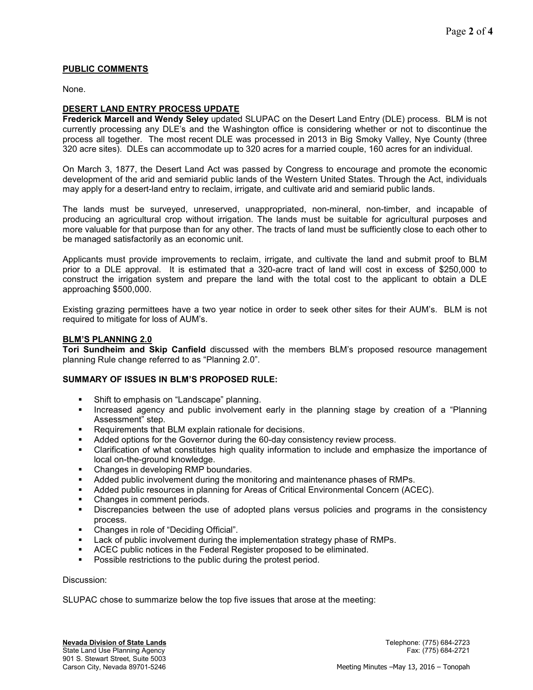# **PUBLIC COMMENTS**

None.

## **DESERT LAND ENTRY PROCESS UPDATE**

**Frederick Marcell and Wendy Seley** updated SLUPAC on the Desert Land Entry (DLE) process. BLM is not currently processing any DLE's and the Washington office is considering whether or not to discontinue the process all together. The most recent DLE was processed in 2013 in Big Smoky Valley, Nye County (three 320 acre sites). DLEs can accommodate up to 320 acres for a married couple, 160 acres for an individual.

On March 3, 1877, the Desert Land Act was passed by Congress to encourage and promote the economic development of the arid and semiarid public lands of the Western United States. Through the Act, individuals may apply for a desert-land entry to reclaim, irrigate, and cultivate arid and semiarid public lands.

The lands must be surveyed, unreserved, unappropriated, non-mineral, non-timber, and incapable of producing an agricultural crop without irrigation. The lands must be suitable for agricultural purposes and more valuable for that purpose than for any other. The tracts of land must be sufficiently close to each other to be managed satisfactorily as an economic unit.

Applicants must provide improvements to reclaim, irrigate, and cultivate the land and submit proof to BLM prior to a DLE approval. It is estimated that a 320-acre tract of land will cost in excess of \$250,000 to construct the irrigation system and prepare the land with the total cost to the applicant to obtain a DLE approaching \$500,000.

Existing grazing permittees have a two year notice in order to seek other sites for their AUM's. BLM is not required to mitigate for loss of AUM's.

### **BLM'S PLANNING 2.0**

**Tori Sundheim and Skip Canfield** discussed with the members BLM's proposed resource management planning Rule change referred to as "Planning 2.0".

#### **SUMMARY OF ISSUES IN BLM'S PROPOSED RULE:**

- Shift to emphasis on "Landscape" planning.
- **Increased agency and public involvement early in the planning stage by creation of a "Planning"** Assessment" step.
- **Requirements that BLM explain rationale for decisions.**
- Added options for the Governor during the 60-day consistency review process.
- Clarification of what constitutes high quality information to include and emphasize the importance of local on-the-ground knowledge.
- **EXEC** Changes in developing RMP boundaries.
- Added public involvement during the monitoring and maintenance phases of RMPs.
- Added public resources in planning for Areas of Critical Environmental Concern (ACEC).
- Changes in comment periods.
- Discrepancies between the use of adopted plans versus policies and programs in the consistency process.
- Changes in role of "Deciding Official".
- **Lack of public involvement during the implementation strategy phase of RMPs.**
- ACEC public notices in the Federal Register proposed to be eliminated.
- Possible restrictions to the public during the protest period.

#### Discussion:

SLUPAC chose to summarize below the top five issues that arose at the meeting: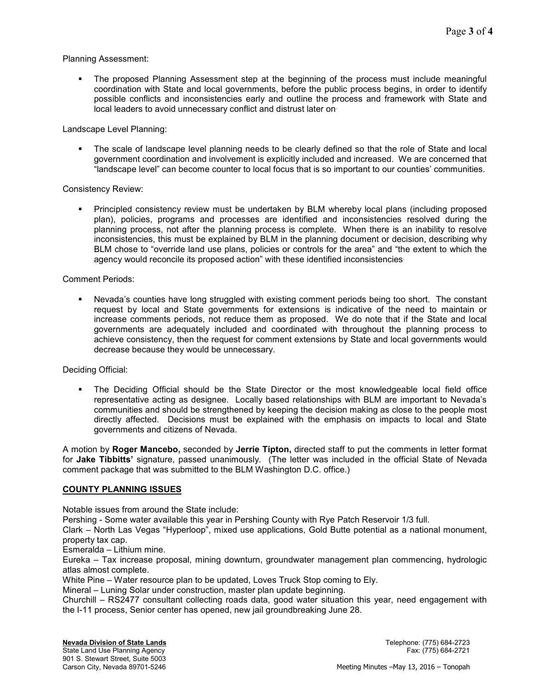#### Planning Assessment:

 The proposed Planning Assessment step at the beginning of the process must include meaningful coordination with State and local governments, before the public process begins, in order to identify possible conflicts and inconsistencies early and outline the process and framework with State and local leaders to avoid unnecessary conflict and distrust later on.

#### Landscape Level Planning:

 The scale of landscape level planning needs to be clearly defined so that the role of State and local government coordination and involvement is explicitly included and increased. We are concerned that "landscape level" can become counter to local focus that is so important to our counties' communities.

### Consistency Review:

 Principled consistency review must be undertaken by BLM whereby local plans (including proposed plan), policies, programs and processes are identified and inconsistencies resolved during the planning process, not after the planning process is complete. When there is an inability to resolve inconsistencies, this must be explained by BLM in the planning document or decision, describing why BLM chose to "override land use plans, policies or controls for the area" and "the extent to which the agency would reconcile its proposed action" with these identified inconsistencies.

### Comment Periods:

 Nevada's counties have long struggled with existing comment periods being too short. The constant request by local and State governments for extensions is indicative of the need to maintain or increase comments periods, not reduce them as proposed. We do note that if the State and local governments are adequately included and coordinated with throughout the planning process to achieve consistency, then the request for comment extensions by State and local governments would decrease because they would be unnecessary.

#### Deciding Official:

 The Deciding Official should be the State Director or the most knowledgeable local field office representative acting as designee. Locally based relationships with BLM are important to Nevada's communities and should be strengthened by keeping the decision making as close to the people most directly affected. Decisions must be explained with the emphasis on impacts to local and State governments and citizens of Nevada.

A motion by **Roger Mancebo,** seconded by **Jerrie Tipton,** directed staff to put the comments in letter format for **Jake Tibbitts'** signature, passed unanimously. (The letter was included in the official State of Nevada comment package that was submitted to the BLM Washington D.C. office.)

#### **COUNTY PLANNING ISSUES**

Notable issues from around the State include:

Pershing - Some water available this year in Pershing County with Rye Patch Reservoir 1/3 full.

Clark – North Las Vegas "Hyperloop", mixed use applications, Gold Butte potential as a national monument, property tax cap.

Esmeralda – Lithium mine.

Eureka – Tax increase proposal, mining downturn, groundwater management plan commencing, hydrologic atlas almost complete.

White Pine – Water resource plan to be updated, Loves Truck Stop coming to Ely.

Mineral – Luning Solar under construction, master plan update beginning.

Churchill – RS2477 consultant collecting roads data, good water situation this year, need engagement with the I-11 process, Senior center has opened, new jail groundbreaking June 28.

State Land Use Planning Agency Fax: (775) 684-2721 901 S. Stewart Street, Suite 5003